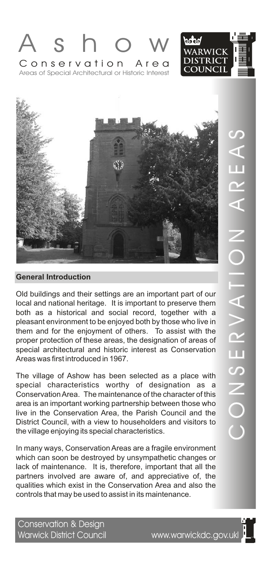





Old buildings and their settings are an important part of our local and national heritage. It is important to preserve them both as a historical and social record, together with a pleasant environment to be enjoyed both by those who live in them and for the enjoyment of others. To assist with the proper protection of these areas, the designation of areas of special architectural and historic interest as Conservation Areas was first introduced in 1967.

The village of Ashow has been selected as a place with special characteristics worthy of designation as a Conservation Area. The maintenance of the character of this area is an important working partnership between those who live in the Conservation Area, the Parish Council and the District Council, with a view to householders and visitors to the village enjoying its special characteristics.

In many ways, Conservation Areas are a fragile environment which can soon be destroyed by unsympathetic changes or lack of maintenance. It is, therefore, important that all the partners involved are aware of, and appreciative of, the qualities which exist in the Conservation Area and also the controls that may be used to assist in its maintenance.

Conservation & Design<br>Warwick District Council

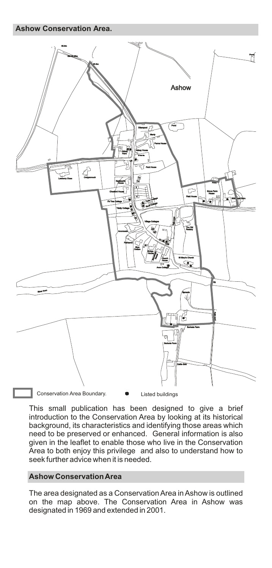**Ashow Conservation Area.**



This small publication has been designed to give a brief introduction to the Conservation Area by looking at its historical background, its characteristics and identifying those areas which need to be preserved or enhanced. General information is also given in the leaflet to enable those who live in the Conservation Area to both enjoy this privilege and also to understand how to seek further advice when it is needed.

# **Ashow Conservation Area**

The area designated as a Conservation Area in Ashow is outlined on the map above. The Conservation Area in Ashow was designated in 1969 and extended in 2001.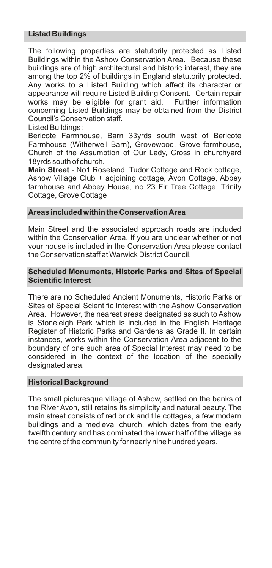## **Listed Buildings**

The following properties are statutorily protected as Listed Buildings within the Ashow Conservation Area. Because these buildings are of high architectural and historic interest, they are among the top 2% of buildings in England statutorily protected. Any works to a Listed Building which affect its character or appearance will require Listed Building Consent. Certain repair works may be eligible for grant aid. concerning Listed Buildings may be obtained from the District Council's Conservation staff.

Listed Buildings :

Bericote Farmhouse, Barn 33yrds south west of Bericote Farmhouse (Witherwell Barn), Grovewood, Grove farmhouse, Church of the Assumption of Our Lady, Cross in churchyard 18yrds south of church.

**Main Street** - No1 Roseland, Tudor Cottage and Rock cottage, Ashow Village Club + adjoining cottage, Avon Cottage, Abbey farmhouse and Abbey House, no 23 Fir Tree Cottage, Trinity Cottage, Grove Cottage

#### **Areas included within the Conservation Area**

Main Street and the associated approach roads are included within the Conservation Area. If you are unclear whether or not your house is included in the Conservation Area please contact the Conservation staff at Warwick District Council.

#### **Scheduled Monuments, Historic Parks and Sites of Special Scientific Interest**

There are no Scheduled Ancient Monuments, Historic Parks or Sites of Special Scientific Interest with the Ashow Conservation Area. However, the nearest areas designated as such to Ashow is Stoneleigh Park which is included in the English Heritage Register of Historic Parks and Gardens as Grade II. In certain instances, works within the Conservation Area adjacent to the boundary of one such area of Special Interest may need to be considered in the context of the location of the specially designated area.

#### **Historical Background**

The small picturesque village of Ashow, settled on the banks of the River Avon, still retains its simplicity and natural beauty. The main street consists of red brick and tile cottages, a few modern buildings and a medieval church, which dates from the early twelfth century and has dominated the lower half of the village as the centre of the community for nearly nine hundred years.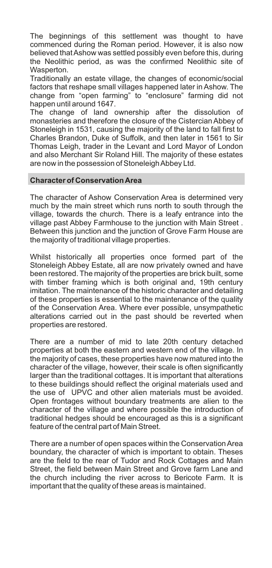The beginnings of this settlement was thought to have commenced during the Roman period. However, it is also now believed that Ashow was settled possibly even before this, during the Neolithic period, as was the confirmed Neolithic site of Wasperton.

Traditionally an estate village, the changes of economic/social factors that reshape small villages happened later in Ashow. The change from "open farming" to "enclosure" farming did not happen until around 1647.

The change of land ownership after the dissolution of monasteries and therefore the closure of the Cistercian Abbey of Stoneleigh in 1531, causing the majority of the land to fall first to Charles Brandon, Duke of Suffolk, and then later in 1561 to Sir Thomas Leigh, trader in the Levant and Lord Mayor of London and also Merchant Sir Roland Hill. The majority of these estates are now in the possession of Stoneleigh Abbey Ltd.

#### **Character of Conservation Area**

The character of Ashow Conservation Area is determined very much by the main street which runs north to south through the village, towards the church. There is a leafy entrance into the village past Abbey Farmhouse to the junction with Main Street . Between this junction and the junction of Grove Farm House are the majority of traditional village properties.

Whilst historically all properties once formed part of the Stoneleigh Abbey Estate, all are now privately owned and have been restored. The majority of the properties are brick built, some with timber framing which is both original and, 19th century imitation. The maintenance of the historic character and detailing of these properties is essential to the maintenance of the quality of the Conservation Area. Where ever possible, unsympathetic alterations carried out in the past should be reverted when properties are restored.

There are a number of mid to late 20th century detached properties at both the eastern and western end of the village. In the majority of cases, these properties have now matured into the character of the village, however, their scale is often significantly larger than the traditional cottages. It is important that alterations to these buildings should reflect the original materials used and the use of UPVC and other alien materials must be avoided. Open frontages without boundary treatments are alien to the character of the village and where possible the introduction of traditional hedges should be encouraged as this is a significant feature of the central part of Main Street.

There are a number of open spaces within the Conservation Area boundary, the character of which is important to obtain. Theses are the field to the rear of Tudor and Rock Cottages and Main Street, the field between Main Street and Grove farm Lane and the church including the river across to Bericote Farm. It is important that the quality of these areas is maintained.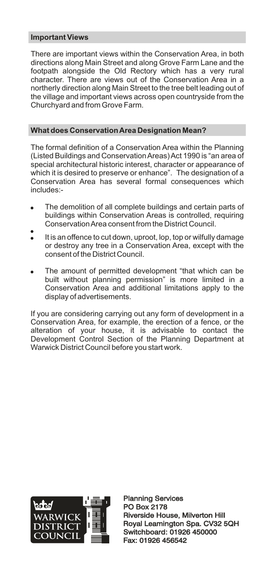## **Important Views**

There are important views within the Conservation Area, in both directions along Main Street and along Grove Farm Lane and the footpath alongside the Old Rectory which has a very rural character. There are views out of the Conservation Area in a northerly direction along Main Street to the tree belt leading out of the village and important views across open countryside from the Churchyard and from Grove Farm.

## **What does Conservation Area Designation Mean?**

The formal definition of a Conservation Area within the Planning (Listed Buildings and Conservation Areas) Act 1990 is "an area of special architectural historic interest, character or appearance of which it is desired to preserve or enhance". The designation of a Conservation Area has several formal consequences which includes:-

- The demolition of all complete buildings and certain parts of buildings within Conservation Areas is controlled, requiring Conservation Area consent from the District Council. .
- It is an offence to cut down, uproot, lop, top or wilfully damage or destroy any tree in a Conservation Area, except with the consent of the District Council.
- The amount of permitted development "that which can be built without planning permission" is more limited in a Conservation Area and additional limitations apply to the display of advertisements.

If you are considering carrying out any form of development in a Conservation Area, for example, the erection of a fence, or the alteration of your house, it is advisable to contact the Development Control Section of the Planning Department at Warwick District Council before you start work.



Planning Services PO Box 2178 Planning Services<br>PO Box 2178<br>Riverside House, Milverton Hill Royal Leamington Spa. CV32 5QH Switchboard: 01926 450000 Fax: 01926 456542 Royal Leamington Spa. CV32<br>Switchboard: 01926 450000<br>Fax: 01926 456542